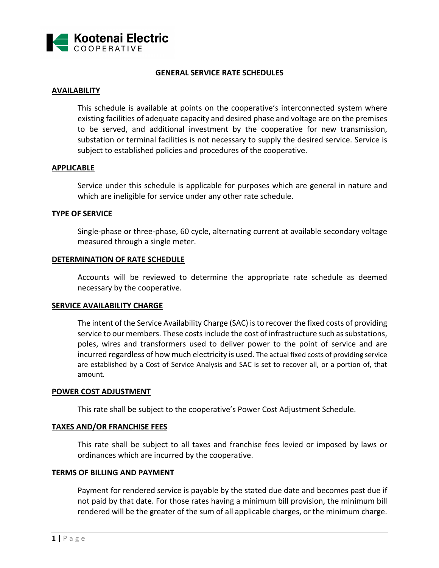

# **GENERAL SERVICE RATE SCHEDULES**

# **AVAILABILITY**

This schedule is available at points on the cooperative's interconnected system where existing facilities of adequate capacity and desired phase and voltage are on the premises to be served, and additional investment by the cooperative for new transmission, substation or terminal facilities is not necessary to supply the desired service. Service is subject to established policies and procedures of the cooperative.

## **APPLICABLE**

Service under this schedule is applicable for purposes which are general in nature and which are ineligible for service under any other rate schedule.

#### **TYPE OF SERVICE**

Single-phase or three-phase, 60 cycle, alternating current at available secondary voltage measured through a single meter.

#### **DETERMINATION OF RATE SCHEDULE**

Accounts will be reviewed to determine the appropriate rate schedule as deemed necessary by the cooperative.

## **SERVICE AVAILABILITY CHARGE**

The intent of the Service Availability Charge (SAC) is to recover the fixed costs of providing service to our members. These costs include the cost of infrastructure such as substations, poles, wires and transformers used to deliver power to the point of service and are incurred regardless of how much electricity is used. The actual fixed costs of providing service are established by a Cost of Service Analysis and SAC is set to recover all, or a portion of, that amount.

#### **POWER COST ADJUSTMENT**

This rate shall be subject to the cooperative's Power Cost Adjustment Schedule.

#### **TAXES AND/OR FRANCHISE FEES**

This rate shall be subject to all taxes and franchise fees levied or imposed by laws or ordinances which are incurred by the cooperative.

#### **TERMS OF BILLING AND PAYMENT**

Payment for rendered service is payable by the stated due date and becomes past due if not paid by that date. For those rates having a minimum bill provision, the minimum bill rendered will be the greater of the sum of all applicable charges, or the minimum charge.